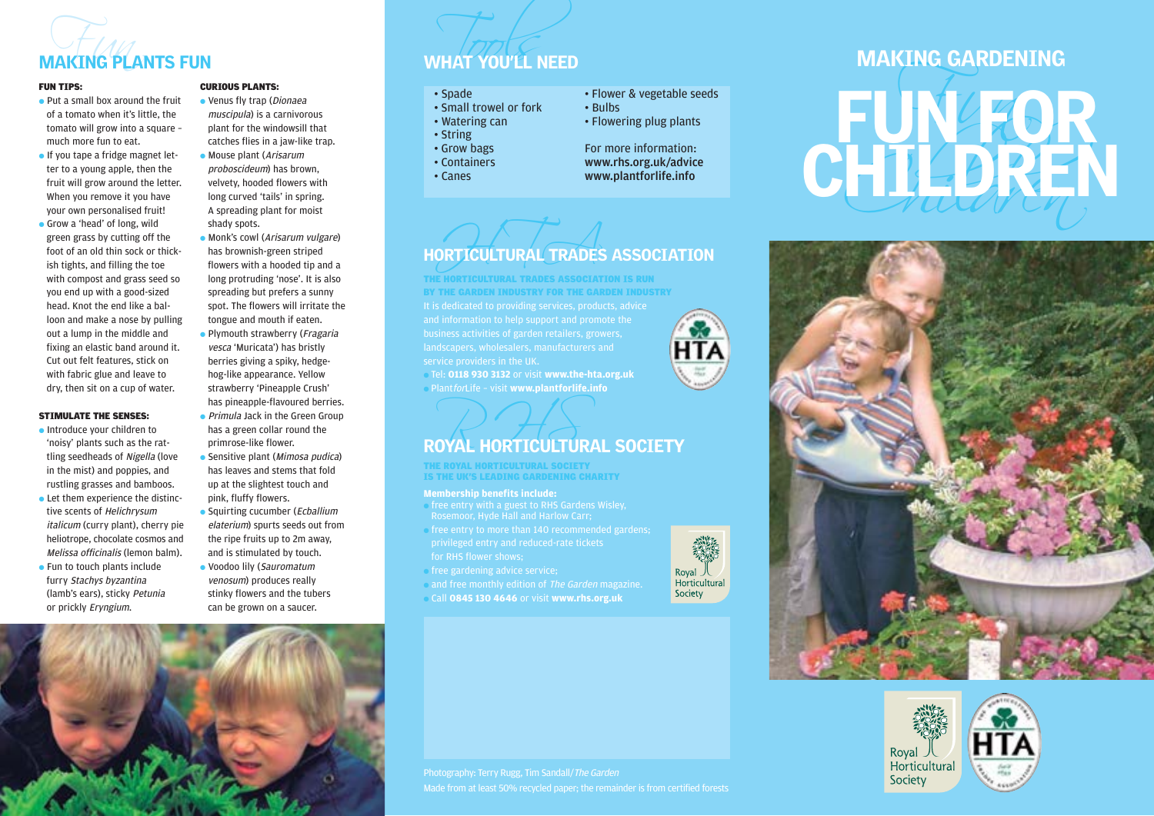

## FUN TIPS:

- Put a small box around the fruit of a tomato when it's little, the tomato will grow into a square – much more fun to eat.
- If you tape a fridge magnet letter to a young apple, then the fruit will grow around the letter. When you remove it you have your own personalised fruit!
- Grow a 'head' of long, wild green grass by cutting off the foot of an old thin sock or thickish tights, and filling the toe with compost and grass seed so you end up with a good-sized head. Knot the end like a balloon and make a nose by pulling out a lump in the middle and fixing an elastic band around it. Cut out felt features, stick on with fabric glue and leave to dry, then sit on a cup of water.

## STIMULATE THE SENSES:

- Introduce your children to 'noisy' plants such as the rattling seedheads of Nigella (love in the mist) and poppies, and rustling grasses and bamboos.
- Let them experience the distinctive scents of Helichrysum italicum (curry plant), cherry pie heliotrope, chocolate cosmos and Melissa officinalis (lemon balm).
- Fun to touch plants include furry Stachys byzantina (lamb's ears), sticky Petunia or prickly Eryngium.

#### CURIOUS PLANTS:

- Venus fly trap (Dionaea muscipula) is a carnivorous plant for the windowsill that catches flies in a jaw-like trap.
- Mouse plant (Arisarum proboscideum) has brown, velvety, hooded flowers with long curved 'tails' in spring. A spreading plant for moist shady spots.
- Monk's cowl (Arisarum vulgare) has brownish-green striped flowers with a hooded tip and a long protruding 'nose'. It is also spreading but prefers a sunny spot. The flowers will irritate the tongue and mouth if eaten.
- Plymouth strawberry (Fragaria vesca 'Muricata') has bristly berries giving a spiky, hedgehog-like appearance. Yellow strawberry 'Pineapple Crush' has pineapple-flavoured berries.
- Primula Jack in the Green Group has a green collar round the primrose-like flower.
- Sensitive plant (Mimosa pudica) has leaves and stems that fold up at the slightest touch and pink, fluffy flowers.
- Squirting cucumber (Ecballium elaterium) spurts seeds out from the ripe fruits up to 2m away, and is stimulated by touch.
- Voodoo lily (Sauromatum venosum) produces really stinky flowers and the tubers can be grown on a saucer.

- 
- 
- 
- 
- 
- 
- 
- 
- 
- 
- 

# ORTICULTURAL TRADES HORTICULTURAL TRADES ASSOCIATION

service providers in the UK. THE HORTICULTURAL TRADES ASSOCIATION IS RUN BY THE GARDEN INDUSTRY FOR THE GARDEN INDUSTRY

● Tel: **0118 930 3132** or visit **www.the-hta.org.uk** ● PlantforLife – visit **www.plantforlife.info**

# ROYAL HORTICULTURAL SOCIETY

THE ROYAL HORTICULTURAL SOCIETY IS THE UK'S LEADING GARDENING CHARITY

#### **Membership benefits include:**

- free entry with a guest to RHS Gardens Wisley, Rosemoor, Hyde Hall and Harlow Carr;
- free entry to more than 140 recommended gardens; for RHS flower shows;
- free gardening advice service;
- and free monthly edition of The Garden magazine.
- Call **0845 130 4646** or visit **www.rhs.org.uk**









Royal JU<br>Horticultural Society